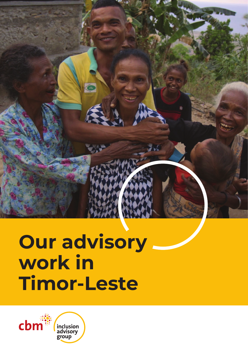# **Our advisory work in Timor-Leste**

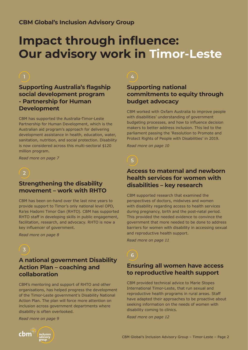# **Impact through influence: Our advisory work in Timor-Leste**

# **Supporting Australia's flagship social development program - Partnership for Human Development**

CBM has supported the Australia-Timor-Leste Partnership for Human Development, which is the Australian aid program's approach for delivering development assistance in health, education, water, sanitation, nutrition, and social protection. Disability is now considered across this multi-sectoral \$120 million program.

*Read more on page 7*



# **Strengthening the disability movement – work with RHTO**

CBM has been on-hand over the last nine years to provide support to Timor's only national level OPD, Ra'es Hadomi Timor Oan (RHTO). CBM has supported RHTO staff in developing skills in public engagement, facilitation, research, and advocacy. RHTO is now a key influencer of government.

*Read more on page 8*

 $\sqrt{3}$ 

# **A national government Disability Action Plan – coaching and collaboration**

CBM's mentoring and support of RHTO and other organisations, has helped progress the development of the Timor-Leste government's Disability National Action Plan. The plan will force more attention on inclusion across government departments where disability is often overlooked.

*Read more on page 9*

# **Supporting national commitments to equity through budget advocacy**

CBM worked with Oxfam Australia to improve people with disabilities' understanding of government budgeting processes, and how to influence decision makers to better address inclusion. This led to the parliament passing the 'Resolution to Promote and Protect Rights of People with Disabilities' in 2019.

*Read more on page 10*

# 5

# **Access to maternal and newborn health services for women with disabilities – key research**

CBM supported research that examined the perspectives of doctors, midwives and women with disability regarding access to health services during pregnancy, birth and the post-natal period. This provided the needed evidence to convince the government that more needed to be done to address barriers for women with disability in accessing sexual and reproductive health support.

*Read more on page 11*

# 6

# **Ensuring all women have access to reproductive health support**

CBM provided technical advice to Marie Stopes International Timor-Leste, that run sexual and reproductive health programs in rural areas. Staff have adapted their approaches to be proactive about seeking information on the needs of women with disability coming to clinics.

*Read more on page 12*

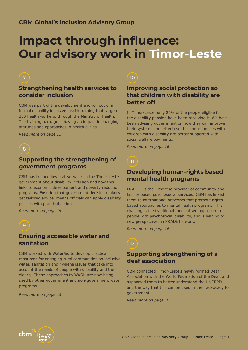# **Impact through influence: Our advisory work in Timor-Leste**

# **Strengthening health services to consider inclusion**

CBM was part of the development and roll out of a formal disability inclusive health training that targeted 250 health workers, through the Ministry of Health. The training package is having an impact in changing attitudes and approaches in health clinics.

*Read more on page 13*

#### $^{\prime}$  8

# **Supporting the strengthening of government programs**

CBM has trained key civil servants in the Timor-Leste government about disability inclusion and how this links to economic development and poverty reduction programs. Ensuring that government decision makers get tailored advice, means officials can apply disability policies with practical action.

*Read more on page 14*

#### $\overline{9}$

### **Ensuring accessible water and sanitation**

CBM worked with WaterAid to develop practical resources for engaging rural communities on inclusive water, sanitation and hygiene issues that take into account the needs of people with disability and the elderly. These approaches to WASH are now being used by other government and non-government water programs.

*Read more on page 15*

### $10<sup>1</sup>$

# **Improving social protection so that children with disability are better off**

In Timor-Leste, only 20% of the people eligible for the disability pension have been receiving it. We have been advising government on how they can improve their systems and criteria so that more families with children with disability are better supported with social welfare payments.

*Read more on page 16*

# 11

# **Developing human-rights based mental health programs**

PRADET is the Timorese provider of community and facility based psychosocial services. CBM has linked them to international networks that promote rightsbased approaches to mental health programs. This challenges the traditional medicalised approach to people with psychosocial disability, and is leading to new perspectives in PRADET's work.

*Read more on page 16*

# $\sqrt{12}$

### **Supporting strengthening of a deaf association**

CBM connected Timor-Leste's newly formed Deaf Association with the World Federation of the Deaf, and supported them to better understand the UNCRPD and the way that this can be used in their advocacy to government.

*Read more on page 16*

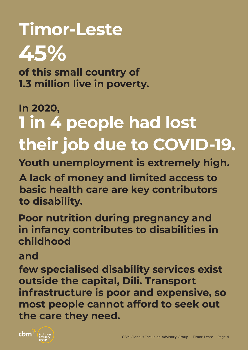# **Timor-Leste 45%**

**of this small country of 1.3 million live in poverty.** 

# **1 in 4 people had lost their job due to COVID-19. In 2020,**

**Youth unemployment is extremely high.** 

**A lack of money and limited access to basic health care are key contributors to disability.** 

**Poor nutrition during pregnancy and in infancy contributes to disabilities in childhood**

**and**

**few specialised disability services exist outside the capital, Dili. Transport infrastructure is poor and expensive, so most people cannot afford to seek out the care they need.** 

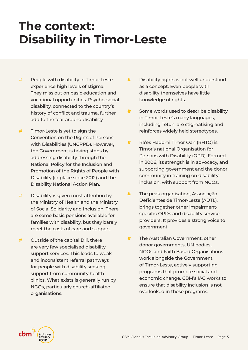# **The context: Disability in Timor-Leste**

- **ُ** People with disability in Timor-Leste experience high levels of stigma. They miss out on basic education and vocational opportunities. Psycho-social disability, connected to the country's history of conflict and trauma, further add to the fear around disability.
- **ُ** Timor-Leste is yet to sign the Convention on the Rights of Persons with Disabilities (UNCRPD). However, the Government is taking steps by addressing disability through the National Policy for the Inclusion and Promotion of the Rights of People with Disability (in place since 2012) and the Disability National Action Plan.
- **ُ** Disability is given most attention by the Ministry of Health and the Ministry of Social Solidarity and Inclusion. There are some basic pensions available for families with disability, but they barely meet the costs of care and support.
- **ُ** Outside of the capital Dili, there are very few specialised disability support services. This leads to weak and inconsistent referral pathways for people with disability seeking support from community health clinics. What exists is generally run by NGOs, particularly church-affiliated organisations.
- **ُ** Disability rights is not well understood as a concept. Even people with disability themselves have little knowledge of rights.
- **<sup>#</sup>** Some words used to describe disability in Timor-Leste's many languages, including Tetun, are stigmatising and reinforces widely held stereotypes.
- **ُ** Ra'es Hadomi Timor Oan (RHTO) is Timor's national Organisation for Persons with Disability (OPD). Formed in 2006, its strength is in advocacy, and supporting government and the donor community in training on disability inclusion, with support from NGOs.
- **ُ** The peak organisation, Associação Deficientes de Timor-Leste (ADTL), brings together other impairmentspecific OPDs and disability service providers. It provides a strong voice to government.
- **<sup>#</sup>** The Australian Government, other donor governments, UN bodies, NGOs and Faith Based Organisations work alongside the Government of Timor-Leste, actively supporting programs that promote social and economic change. CBM's IAG works to ensure that disability inclusion is not overlooked in these programs.

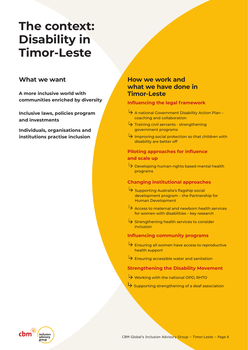# **The context: Disability in Timor-Leste**

**A more inclusive world with Timor-Leste**

**Inclusive laws, policies program and investments**

**Individuals, organisations and institutions practise inclusion**

# **What we want How we work and what we have done in**

#### **Influencing the legal framework**

- $\rightarrow$  A national Government Disability Action Plan coaching and collaboration
- Training civil servants strengthening government programs
- $\rightarrow$  Improving social protection so that children with disability are better off

#### **Piloting approaches for influence and scale up**

Developing human-rights based mental health programs

#### **Changing institutional approaches**

- $\rightarrow$  Supporting Australia's flagship social development program – the Partnership for Human Development
- Access to maternal and newborn health services for women with disabilities – key research
- Strengthening health services to consider inclusion

#### **Influencing community programs**

- $\overleftrightarrow{B}$  Ensuring all women have access to reproductive health support
- $\overleftrightarrow{B}$  Ensuring accessible water and sanitation

#### **Strengthening the Disability Movement**

- Working with the national OPD, RHTO
- $\overleftrightarrow{S}$  Supporting strengthening of a deaf association

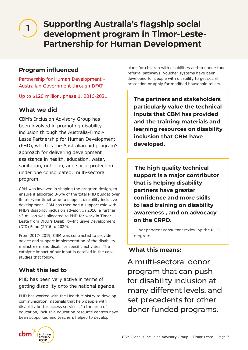# **Supporting Australia's flagship social development program in Timor-Leste-Partnership for Human Development**

# **Program influenced**

Partnership for Human Development - Australian Government through DFAT

Up to \$120 million, phase 1, 2016-2021

# **What we did**

**1**

CBM's Inclusion Advisory Group has been involved in promoting disability inclusion through the Australia-Timor-Leste Partnership for Human Development (PHD), which is the Australian aid program's approach for delivering development assistance in health, education, water, sanitation, nutrition, and social protection under one consolidated, multi-sectoral program.

CBM was involved in shaping the program design, to ensure it allocated 3-5% of the total PHD budget over its ten-year timeframe to support disability inclusive development. CBM has then had a support role with PHD's disability inclusion advisor. In 2016, a further \$3 million was allocated to PHD for work in Timor-Leste from DFAT's Disability-Inclusive Development (DID) Fund (2016 to 2020).

From 2017- 2019, CBM was contracted to provide advice and support implementation of the disability mainstream and disability specific activities. The catalytic impact of our input is detailed in the case studies that follow.

# **What this led to**

PHD has been very active in terms of getting disability onto the national agenda.

PHD has worked with the Health Ministry to develop communication materials that help people with disability better access services. In the area of education, inclusive education resource centres have been supported and teachers helped to develop

plans for children with disabilities and to understand referral pathways. Voucher systems have been developed for people with disability to get social protection or apply for modified household toilets.

**The partners and stakeholders particularly value the technical inputs that CBM has provided and the training materials and learning resources on disability inclusion that CBM have developed.** 

**The high quality technical support is a major contributor that is helping disability partners have greater confidence and more skills to lead training on disability awareness , and on advocacy on the CRPD.** 

- Independent consultant reviewing the PHD program.

# **What this means:**

A multi-sectoral donor program that can push for disability inclusion at many different levels, and set precedents for other donor-funded programs.

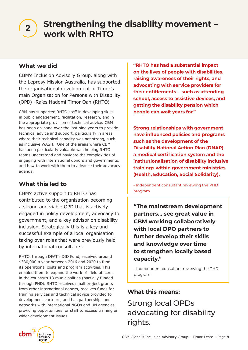# **Strengthening the disability movement – work with RHTO <sup>2</sup>**

# **What we did**

CBM's Inclusion Advisory Group, along with the Leprosy Mission Australia, has supported the organisational development of Timor's main Organisation for Persons with Disability (OPD) -Ra'es Hadomi Timor Oan (RHTO).

CBM has supported RHTO staff in developing skills in public engagement, facilitation, research, and in the appropriate provision of technical advice. CBM has been on-hand over the last nine years to provide technical advice and support, particularly in areas where their technical capacity was not strong, such as inclusive WASH. One of the areas where CBM has been particularly valuable was helping RHTO teams understand and navigate the complexities of engaging with international donors and governments, and how to work with them to advance their advocacy agenda.

# **What this led to**

CBM's active support to RHTO has contributed to the organisation becoming a strong and viable OPD that is actively engaged in policy development, advocacy to government, and a key advisor on disability inclusion. Strategically this is a key and successful example of a local organisation taking over roles that were previously held by international consultants.

RHTO, through DFAT's DID Fund, received around \$330,000 a year between 2016 and 2020 to fund its operational costs and program activities. This enabled them to expand the work of field officers in the country's 13 municipalities (partially funded through PHD). RHTO receives small project grants from other international donors, receives funds for training services and technical advice provided to development partners, and has partnerships and networks with international NGOs and UN agencies, providing opportunities for staff to access training on wider development issues.

**"RHTO has had a substantial impact on the lives of people with disabilities, raising awareness of their rights, and advocating with service providers for their entitlements - such as attending school, access to assistive devices, and getting the disability pension which people can wait years for."**

**Strong relationships with government have influenced policies and programs such as the development of the Disability National Action Plan (DNAP), a medical certification system and the institutionalisation of disability inclusive trainings within government ministries (Health, Education, Social Solidarity).** 

- Independent consultant reviewing the PHD program

**"The mainstream development partners... see great value in CBM working collaboratively with local DPO partners to further develop their skills and knowledge over time to strengthen locally based capacity."** 

- Independent consultant reviewing the PHD program

# **What this means:**

Strong local OPDs advocating for disability rights.

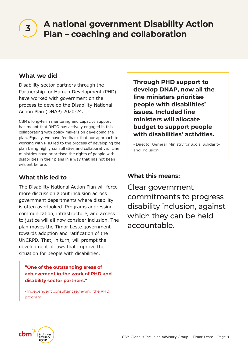# **A national government Disability Action Plan – coaching and collaboration <sup>3</sup>**

# **What we did**

Disability sector partners through the Partnership for Human Development (PHD) have worked with government on the process to develop the Disability National Action Plan (DNAP) 2020-24.

CBM's long-term mentoring and capacity support has meant that RHTO has actively engaged in this collaborating with policy makers on developing the plan. Equally, we have feedback that our approach to working with PHD led to the process of developing the plan being highly consultative and collaborative. Line ministries have prioritised the rights of people with disabilities in their plans in a way that has not been evident before.

# **What this led to**

The Disability National Action Plan will force more discussion about inclusion across government departments where disability is often overlooked. Programs addressing communication, infrastructure, and access to justice will all now consider inclusion. The plan moves the Timor-Leste government towards adoption and ratification of the UNCRPD. That, in turn, will prompt the development of laws that improve the situation for people with disabilities.

#### **"One of the outstanding areas of achievement in the work of PHD and disability sector partners."**

- Independent consultant reviewing the PHD program

**Through PHD support to develop DNAP, now all the line ministers prioritise people with disabilities' issues. Included line ministers will allocate budget to support people with disabilities' activities.** 

- Director General, Ministry for Social Solidarity and Inclusion

# **What this means:**

Clear government commitments to progress disability inclusion, against which they can be held accountable.

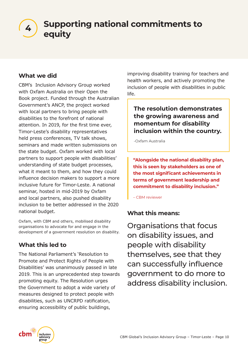**Supporting national commitments to**  4) support

# **What we did**

CBM's Inclusion Advisory Group worked with Oxfam Australia on their Open the Book project. Funded through the Australian Government's ANCP, the project worked with local partners to bring people with disabilities to the forefront of national attention. In 2019, for the first time ever, Timor-Leste's disability representatives held press conferences, TV talk shows, seminars and made written submissions on the state budget. Oxfam worked with local partners to support people with disabilities' understanding of state budget processes, what it meant to them, and how they could influence decision makers to support a more inclusive future for Timor-Leste. A national seminar, hosted in mid-2019 by Oxfam and local partners, also pushed disability inclusion to be better addressed in the 2020 national budget.

Oxfam, with CBM and others, mobilised disability organisations to advocate for and engage in the development of a government resolution on disability.

# **What this led to**

The National Parliament's 'Resolution to Promote and Protect Rights of People with Disabilities' was unanimously passed in late 2019. This is an unprecedented step towards promoting equity. The Resolution urges the Government to adopt a wide variety of measures designed to protect people with disabilities, such as UNCRPD ratification, ensuring accessibility of public buildings,

improving disability training for teachers and health workers, and actively promoting the inclusion of people with disabilities in public life.

**The resolution demonstrates the growing awareness and momentum for disability inclusion within the country.** 

-Oxfam Australia

**"Alongside the national disability plan, this is seen by stakeholders as one of the most significant achievements in terms of government leadership and commitment to disability inclusion."** 

– CBM reviewer

# **What this means:**

Organisations that focus on disability issues, and people with disability themselves, see that they can successfully influence government to do more to address disability inclusion.

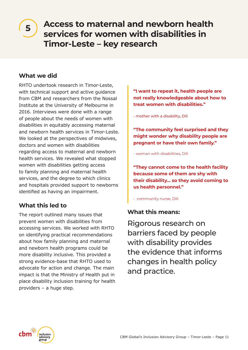# **Access to maternal and newborn health services for women with disabilities in Timor-Leste – key research**

# **What we did**

**5**

RHTO undertook research in Timor-Leste, with technical support and active quidance from CBM and researchers from the Nossal Institute at the University of Melbourne in 2016. Interviews were done with a range of people about the needs of women with disabilities in equitably accessing maternal and newborn health services in Timor-Leste. We looked at the perspectives of midwives, doctors and women with disabilities regarding access to maternal and newborn health services. We revealed what stopped women with disabilities getting access to family planning and maternal health services, and the degree to which clinics and hospitals provided support to newborns identified as having an impairment.

# **What this led to**

The report outlined many issues that prevent women with disabilities from accessing services. We worked with RHTO on identifying practical recommendations about how family planning and maternal and newborn health programs could be more disability inclusive. This provided a strong evidence-base that RHTO used to advocate for action and change. The main impact is that the Ministry of Health put in place disability inclusion training for health providers – a huge step.

**"I want to repeat it, health people are not really knowledgeable about how to treat women with disabilities."** 

- mother with a disability, Dili

**"The community feel surprised and they might wonder why disability people are pregnant or have their own family."** 

- woman with disabilities, Dili

**"They cannot come to the health facility because some of them are shy with their disability… so they avoid coming to us health personnel."** 

- community nurse, Dili

# **What this means:**

Rigorous research on barriers faced by people with disability provides the evidence that informs changes in health policy and practice.

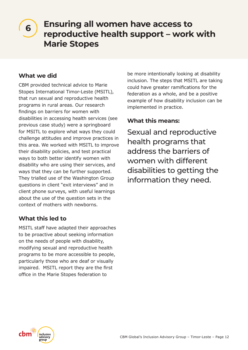# **Ensuring all women have access to reproductive health support – work with Marie Stopes**

# **What we did**

**6**

CBM provided technical advice to Marie Stopes International Timor-Leste (MSITL), that run sexual and reproductive health programs in rural areas. Our research findings on barriers for women with disabilities in accessing health services (see previous case study) were a springboard for MSITL to explore what ways they could challenge attitudes and improve practices in this area. We worked with MSITL to improve their disability policies, and test practical ways to both better identify women with disability who are using their services, and ways that they can be further supported. They trialled use of the Washington Group questions in client "exit interviews" and in client phone surveys, with useful learnings about the use of the question sets in the context of mothers with newborns.

# **What this led to**

MSITL staff have adapted their approaches to be proactive about seeking information on the needs of people with disability, modifying sexual and reproductive health programs to be more accessible to people, particularly those who are deaf or visually impaired. MSITL report they are the first office in the Marie Stopes federation to

be more intentionally looking at disability inclusion. The steps that MSITL are taking could have greater ramifications for the federation as a whole, and be a positive example of how disability inclusion can be implemented in practice.

# **What this means:**

Sexual and reproductive health programs that address the barriers of women with different disabilities to getting the information they need.

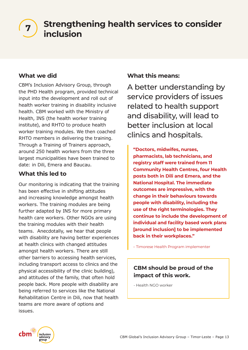# **Strengthening health services to consider inclusion <sup>7</sup>**

# **What we did**

CBM's Inclusion Advisory Group, through the PHD Health program, provided technical input into the development and roll out of health worker training in disability inclusive health. CBM worked with the Ministry of Health, INS (the health worker training institute), and RHTO to produce health worker training modules. We then coached RHTO members in delivering the training. Through a Training of Trainers approach, around 250 health workers from the three largest municipalities have been trained to date: in Dili, Emera and Baucau.

# **What this led to**

Our monitoring is indicating that the training has been effective in shifting attitudes and increasing knowledge amongst health workers. The training modules are being further adapted by INS for more primary health care workers. Other NGOs are using the training modules with their health teams. Anecdotally, we hear that people with disability are having better experiences at health clinics with changed attitudes amongst health workers. There are still other barriers to accessing health services, including transport access to clinics and the physical accessibility of the clinic building), and attitudes of the family, that often hold people back. More people with disability are being referred to services like the National Rehabilitation Centre in Dili, now that health teams are more aware of options and issues.

# **What this means:**

A better understanding by service providers of issues related to health support and disability, will lead to better inclusion at local clinics and hospitals.

**"Doctors, midwifes, nurses, pharmacists, lab technicians, and registry staff were trained from 11 Community Health Centres, four Health posts both in Dili and Emera, and the National Hospital. The immediate outcomes are impressive, with the change in their behaviours towards people with disability, including the use of the right terminologies. They continue to include the development of individual and facility based work plans [around inclusion] to be implemented back in their workplaces."** 

– Timorese Health Program implementer

# **CBM should be proud of the impact of this work.**

- Health NGO worker

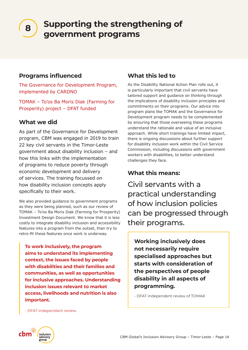**Supporting the strengthening of government programs** 

# **Programs influenced**

The Governance for Development Program, implemented by CARDNO

TOMAK – To'os Ba Moris Diak (Farming for Prosperity) project – DFAT funded

# **What we did**

**8**

As part of the Governance for Development program, CBM was engaged in 2019 to train 22 key civil servants in the Timor-Leste government about disability inclusion – and how this links with the implementation of programs to reduce poverty through economic development and delivery of services. The training focussed on how disability inclusion concepts apply specifically to their work.

We also provided guidance to government programs as they were being planned, such as our review of TOMAK – To'os Ba Moris Diak (Farming for Prosperity) Investment Design Document. We know that it is less costly to integrate disability inclusion and accessibility features into a program from the outset, than try to retro-fit these features once work is underway.

**To work inclusively, the program aims to understand its implementing context, the issues faced by people with disabilities and their families and communities, as well as opportunities for inclusive approaches. Understanding inclusion issues relevant to market access, livelihoods and nutrition is also important.**

# **What this led to**

As the Disability National Action Plan rolls out, it is particularly important that civil servants have tailored support and guidance on thinking through the implications of disability inclusion principles and commitments on their programs. Our advice into program plans like TOMAK and the Governance for Development program needs to be complemented by ensuring that those overseeing these programs understand the rationale and value of an inclusive approach. While short trainings have limited impact, there is ongoing discussions about further support for disability inclusion work within the Civil Service Commission, including discussions with government workers with disabilities, to better understand challenges they face.

# **What this means:**

Civil servants with a practical understanding of how inclusion policies can be progressed through their programs.

**Working inclusively does not necessarily require specialised approaches but starts with consideration of the perspectives of people disability in all aspects of programming.** 

- DFAT independent review of TOMAK

- DFAT independant review.

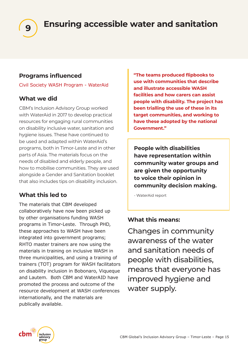

# **Programs influenced**

Civil Society WASH Program - WaterAid

# **What we did**

CBM's Inclusion Advisory Group worked with WaterAid in 2017 to develop practical resources for engaging rural communities on disability inclusive water, sanitation and hygiene issues. These have continued to be used and adapted within WaterAid's programs, both in Timor-Leste and in other parts of Asia. The materials focus on the needs of disabled and elderly people, and how to mobilise communities. They are used alongside a Gender and Sanitation booklet that also includes tips on disability inclusion.

# **What this led to**

The materials that CBM developed collaboratively have now been picked up by other organisations funding WASH programs in Timor-Leste. Through PHD, these approaches to WASH have been integrated into government programs; RHTO master trainers are now using the materials in training on inclusive WASH in three municipalities, and using a training of trainers (TOT) program for WASH facilitators on disability inclusion in Bobonaro, Viqueque and Lautem. Both CBM and WaterAID have promoted the process and outcome of the resource development at WASH conferences internationally, and the materials are publically available.

**"The teams produced flipbooks to use with communities that describe and illustrate accessible WASH facilities and how carers can assist people with disability. The project has been trialling the use of these in its target communities, and working to have these adopted by the national Government."**

**People with disabilities have representation within community water groups and are given the opportunity to voice their opinion in community decision making.** 

- WaterAid report

# **What this means:**

Changes in community awareness of the water and sanitation needs of people with disabilities, means that everyone has improved hygiene and water supply.

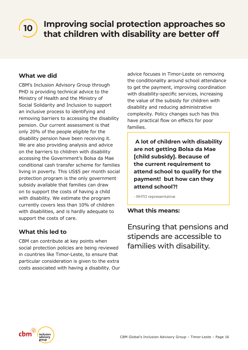# **Improving social protection approaches so that children with disability are better off <sup>10</sup>**

# **What we did**

CBM's Inclusion Advisory Group through PHD is providing technical advice to the Ministry of Health and the Ministry of Social Solidarity and Inclusion to support an inclusive process to identifying and removing barriers to accessing the disability pension. Our current assessment is that only 20% of the people eligible for the disability pension have been receiving it. We are also providing analysis and advice on the barriers to children with disability accessing the Government's Bolsa da Mae conditional cash transfer scheme for families living in poverty. This US\$5 per month social protection program is the only government subsidy available that families can draw on to support the costs of having a child with disability. We estimate the program currently covers less than 10% of children with disabilities, and is hardly adequate to support the costs of care.

# **What this led to**

CBM can contribute at key points when social protection policies are being reviewed in countries like Timor-Leste, to ensure that particular consideration is given to the extra costs associated with having a disability. Our advice focuses in Timor-Leste on removing the conditionality around school attendance to get the payment, improving coordination with disability-specific services, increasing the value of the subsidy for children with disability and reducing administrative complexity. Policy changes such has this have practical flow on effects for poor families.

 **A lot of children with disability are not getting Bolsa da Mae [child subsidy]. Because of the current requirement to attend school to qualify for the payment! but how can they attend school?!** 

- RHTO representative

# **What this means:**

Ensuring that pensions and stipends are accessible to families with disability.

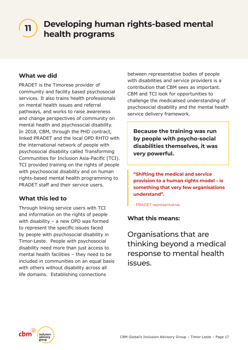# **Developing human rights-based mental health programs**

# **What we did**

PRADET is the Timorese provider of community and facility based psychosocial services. It also trains health professionals on mental health issues and referral pathways, and works to raise awareness and change perspectives of community on mental health and psychosocial disability. In 2018, CBM, through the PHD contract, linked PRADET and the local OPD RHTO with the international network of people with psychosocial disability called Transforming Communities for Inclusion Asia-Pacific (TCI). TCI provided training on the rights of people with psychosocial disability and on human rights-based mental health programming to PRADET staff and their service users.

# **What this led to**

Through linking service users with TCI and information on the rights of people with disability – a new OPD was formed to represent the specific issues faced by people with psychosocial disability in Timor-Leste. People with psychosocial disability need more than just access to mental health facilities – they need to be included in communities on an equal basis with others without disability across all life domains. Establishing connections

between representative bodies of people with disabilities and service providers is a contribution that CBM sees as important. CBM and TCI look for opportunities to challenge the medicalised understanding of psychosocial disability and the mental health service delivery framework.

**Because the training was run by people with psycho-social disabilities themselves, it was very powerful.** 

**"Shifting the medical and service provision to a human rights model – is something that very few organisations understand".** 

- PRADET representative.

# **What this means:**

Organisations that are thinking beyond a medical response to mental health issues.

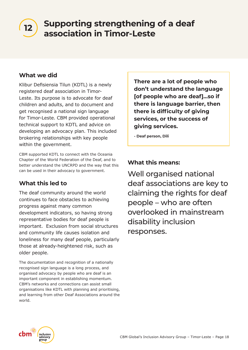**Supporting strengthening of a deaf association in Timor-Leste**<br>association in Timor-Leste

# **What we did**

Klibur Defisiensia Tilun (KDTL) is a newly registered deaf association in Timor-Leste. Its purpose is to advocate for deaf children and adults, and to document and get recognised a national sign language for Timor-Leste. CBM provided operational technical support to KDTL and advice on developing an advocacy plan. This included brokering relationships with key people within the government.

CBM supported KDTL to connect with the Oceania Chapter of the World Federation of the Deaf, and to better understand the UNCRPD and the way that this can be used in their advocacy to government.

# **What this led to**

The deaf community around the world continues to face obstacles to achieving progress against many common development indicators, so having strong representative bodies for deaf people is important. Exclusion from social structures and community life causes isolation and loneliness for many deaf people, particularly those at already-heightened risk, such as older people.

The documentation and recognition of a nationally recognised sign language is a long process, and organised advocacy by people who are deaf is an important component in establishing momentum. CBM's networks and connections can assist small organisations like KDTL with planning and prioritising, and learning from other Deaf Associations around the world.

**There are a lot of people who don't understand the language [of people who are deaf]...so if there is language barrier, then there is difficulty of giving services, or the success of giving services.** 

**- Deaf person, Dili**

# **What this means:**

Well organised national deaf associations are key to claiming the rights for deaf people – who are often overlooked in mainstream disability inclusion responses.